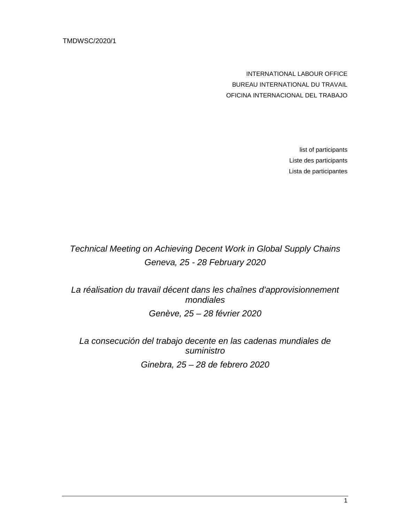TMDWSC/2020/1

INTERNATIONAL LABOUR OFFICE BUREAU INTERNATIONAL DU TRAVAIL OFICINA INTERNACIONAL DEL TRABAJO

> list of participants Liste des participants Lista de participantes

Technical Meeting on Achieving Decent Work in Global Supply Chains Geneva, 25 - 28 February 2020

La réalisation du travail décent dans les chaînes d'approvisionnement mondiales Genève, 25 – 28 février 2020

La consecución del trabajo decente en las cadenas mundiales de suministro Ginebra, 25 – 28 de febrero 2020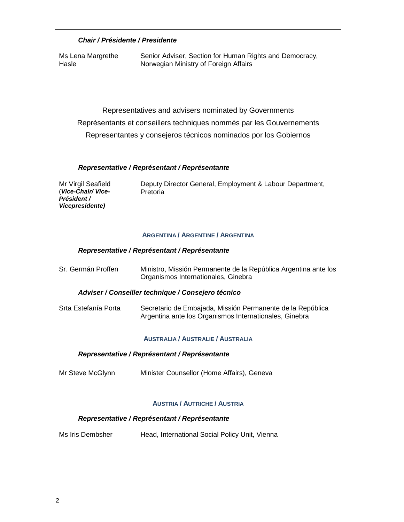## **Chair / Présidente / Presidente**

Ms Lena Margrethe **Hasle** Senior Adviser, Section for Human Rights and Democracy, Norwegian Ministry of Foreign Affairs

Representatives and advisers nominated by Governments Représentants et conseillers techniques nommés par les Gouvernements Representantes y consejeros técnicos nominados por los Gobiernos

#### **Representative / Représentant / Représentante**

Mr Virgil Seafield (**Vice-Chair/ Vice-Président / Vicepresidente)**

Deputy Director General, Employment & Labour Department, Pretoria

#### **ARGENTINA / ARGENTINE / ARGENTINA**

#### **Representative / Représentant / Représentante**

Sr. Germán Proffen Ministro, Missión Permanente de la República Argentina ante los Organismos Internationales, Ginebra

#### **Adviser / Conseiller technique / Consejero técnico**

Srta Estefanía Porta Secretario de Embajada, Missión Permanente de la República Argentina ante los Organismos Internationales, Ginebra

#### **AUSTRALIA / AUSTRALIE / AUSTRALIA**

#### **Representative / Représentant / Représentante**

Mr Steve McGlynn Minister Counsellor (Home Affairs), Geneva

#### **AUSTRIA / AUTRICHE / AUSTRIA**

#### **Representative / Représentant / Représentante**

Ms Iris Dembsher Head, International Social Policy Unit, Vienna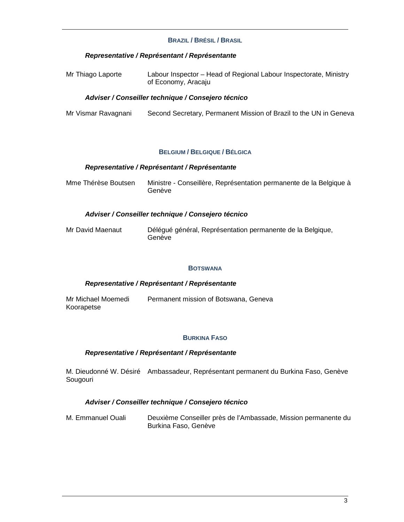### **BRAZIL / BRÉSIL / BRASIL**

#### **Representative / Représentant / Représentante**

| Mr Thiago Laporte | Labour Inspector - Head of Regional Labour Inspectorate, Ministry |
|-------------------|-------------------------------------------------------------------|
|                   | of Economy, Aracaju                                               |

#### **Adviser / Conseiller technique / Consejero técnico**

| Mr Vismar Ravagnani | Second Secretary, Permanent Mission of Brazil to the UN in Geneva |  |  |
|---------------------|-------------------------------------------------------------------|--|--|
|                     |                                                                   |  |  |

#### **BELGIUM / BELGIQUE / BÉLGICA**

#### **Representative / Représentant / Représentante**

Mme Thérèse Boutsen Ministre - Conseillère, Représentation permanente de la Belgique à Genève

#### **Adviser / Conseiller technique / Consejero técnico**

| Mr David Maenaut | Délégué général, Représentation permanente de la Belgique, |  |
|------------------|------------------------------------------------------------|--|
|                  | Genève                                                     |  |

#### **BOTSWANA**

#### **Representative / Représentant / Représentante**

| Mr Michael Moemedi | Permanent mission of Botswana, Geneva |  |
|--------------------|---------------------------------------|--|
| Koorapetse         |                                       |  |

#### **BURKINA FASO**

#### **Representative / Représentant / Représentante**

M. Dieudonné W. Désiré Ambassadeur, Représentant permanent du Burkina Faso, Genève Sougouri

### **Adviser / Conseiller technique / Consejero técnico**

M. Emmanuel Ouali Deuxième Conseiller près de l'Ambassade, Mission permanente du Burkina Faso, Genève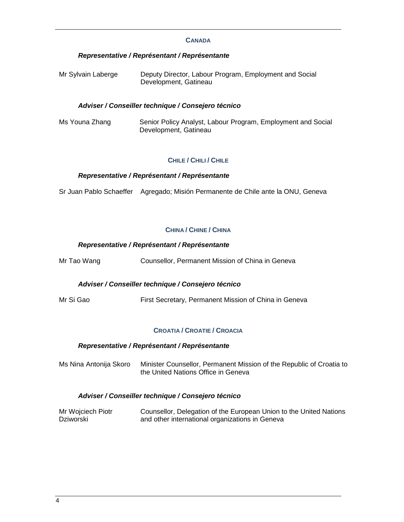#### **CANADA**

### **Representative / Représentant / Représentante**

Mr Sylvain Laberge Deputy Director, Labour Program, Employment and Social Development, Gatineau

#### **Adviser / Conseiller technique / Consejero técnico**

Ms Youna Zhang Senior Policy Analyst, Labour Program, Employment and Social Development, Gatineau

#### **CHILE / CHILI / CHILE**

#### **Representative / Représentant / Représentante**

Sr Juan Pablo Schaeffer Agregado; Misión Permanente de Chile ante la ONU, Geneva

## **CHINA / CHINE / CHINA**

#### **Representative / Représentant / Représentante**

Mr Tao Wang Counsellor, Permanent Mission of China in Geneva

#### **Adviser / Conseiller technique / Consejero técnico**

Mr Si Gao First Secretary, Permanent Mission of China in Geneva

#### **CROATIA / CROATIE / CROACIA**

#### **Representative / Représentant / Représentante**

Ms Nina Antonija Skoro Minister Counsellor, Permanent Mission of the Republic of Croatia to the United Nations Office in Geneva

#### **Adviser / Conseiller technique / Consejero técnico**

| Mr Wojciech Piotr | Counsellor, Delegation of the European Union to the United Nations |
|-------------------|--------------------------------------------------------------------|
| Dziworski         | and other international organizations in Geneva                    |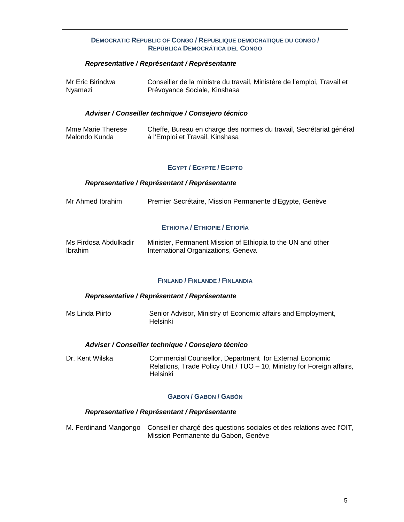#### **DEMOCRATIC REPUBLIC OF CONGO / REPUBLIQUE DEMOCRATIQUE DU CONGO / REPÚBLICA DEMOCRÁTICA DEL CONGO**

### **Representative / Représentant / Représentante**

| Mr Eric Birindwa | Conseiller de la ministre du travail, Ministère de l'emploi, Travail et |
|------------------|-------------------------------------------------------------------------|
| Nyamazi          | Prévoyance Sociale, Kinshasa                                            |

#### **Adviser / Conseiller technique / Consejero técnico**

| Mme Marie Therese | Cheffe, Bureau en charge des normes du travail, Secrétariat général |
|-------------------|---------------------------------------------------------------------|
| Malondo Kunda     | à l'Emploi et Travail, Kinshasa                                     |

#### **EGYPT / EGYPTE / EGIPTO**

#### **Representative / Représentant / Représentante**

| Premier Secrétaire, Mission Permanente d'Egypte, Genève<br>Mr Ahmed Ibrahim |
|-----------------------------------------------------------------------------|
|-----------------------------------------------------------------------------|

#### **ETHIOPIA / ETHIOPIE / ETIOPÍA**

| Ms Firdosa Abdulkadir | Minister, Permanent Mission of Ethiopia to the UN and other |
|-----------------------|-------------------------------------------------------------|
| <b>Ibrahim</b>        | International Organizations, Geneva                         |

#### **FINLAND / FINLANDE / FINLANDIA**

#### **Representative / Représentant / Représentante**

Ms Linda Piirto **Senior Advisor, Ministry of Economic affairs and Employment,** Helsinki

#### **Adviser / Conseiller technique / Consejero técnico**

Dr. Kent Wilska Commercial Counsellor, Department for External Economic Relations, Trade Policy Unit / TUO – 10, Ministry for Foreign affairs, Helsinki

### **GABON / GABON / GABÓN**

#### **Representative / Représentant / Représentante**

M. Ferdinand Mangongo Conseiller chargé des questions sociales et des relations avec l'OIT, Mission Permanente du Gabon, Genève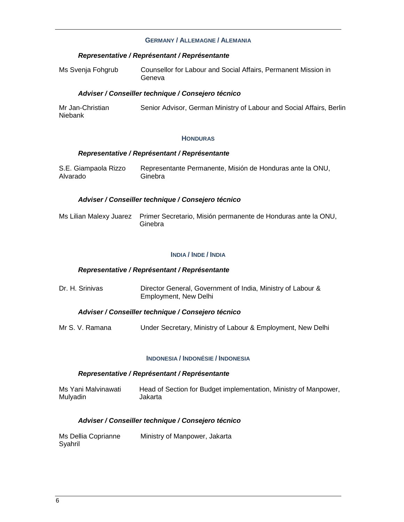#### **GERMANY / ALLEMAGNE / ALEMANIA**

#### **Representative / Représentant / Représentante**

| Ms Svenja Fohgrub | Counsellor for Labour and Social Affairs, Permanent Mission in |  |
|-------------------|----------------------------------------------------------------|--|
|                   | Geneva                                                         |  |

#### **Adviser / Conseiller technique / Consejero técnico**

| Mr Jan-Christian | Senior Advisor, German Ministry of Labour and Social Affairs, Berlin |  |
|------------------|----------------------------------------------------------------------|--|
| <b>Niebank</b>   |                                                                      |  |

#### **HONDURAS**

#### **Representative / Représentant / Représentante**

| S.E. Giampaola Rizzo | Representante Permanente, Misión de Honduras ante la ONU, |
|----------------------|-----------------------------------------------------------|
| Alvarado             | Ginebra                                                   |

#### **Adviser / Conseiller technique / Consejero técnico**

| Ms Lilian Malexy Juarez Primer Secretario, Misión permanente de Honduras ante la ONU, |
|---------------------------------------------------------------------------------------|
| Ginebra                                                                               |

#### **INDIA / INDE / INDIA**

#### **Representative / Représentant / Représentante**

Dr. H. Srinivas **Director General, Government of India, Ministry of Labour &** Employment, New Delhi

#### **Adviser / Conseiller technique / Consejero técnico**

Mr S. V. Ramana Under Secretary, Ministry of Labour & Employment, New Delhi

#### **INDONESIA / INDONÉSIE / INDONESIA**

#### **Representative / Représentant / Représentante**

Ms Yani Malvinawati Mulyadin Head of Section for Budget implementation, Ministry of Manpower, Jakarta

## **Adviser / Conseiller technique / Consejero técnico**

| Ms Dellia Coprianne | Ministry of Manpower, Jakarta |
|---------------------|-------------------------------|
| Syahril             |                               |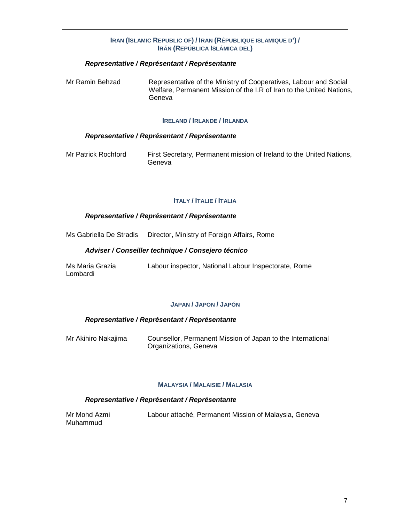#### **IRAN (ISLAMIC REPUBLIC OF) / IRAN (RÉPUBLIQUE ISLAMIQUE D') / IRÁN (REPÚBLICA ISLÁMICA DEL)**

### **Representative / Représentant / Représentante**

Mr Ramin Behzad Representative of the Ministry of Cooperatives, Labour and Social Welfare, Permanent Mission of the I.R of Iran to the United Nations, Geneva

#### **IRELAND / IRLANDE / IRLANDA**

#### **Representative / Représentant / Représentante**

Mr Patrick Rochford First Secretary, Permanent mission of Ireland to the United Nations, Geneva

#### **ITALY / ITALIE / ITALIA**

#### **Representative / Représentant / Représentante**

Ms Gabriella De Stradis Director, Ministry of Foreign Affairs, Rome

#### **Adviser / Conseiller technique / Consejero técnico**

| Ms Maria Grazia | Labour inspector, National Labour Inspectorate, Rome |  |  |
|-----------------|------------------------------------------------------|--|--|
| Lombardi        |                                                      |  |  |

### **JAPAN / JAPON / JAPÓN**

#### **Representative / Représentant / Représentante**

| Mr Akihiro Nakajima | Counsellor, Permanent Mission of Japan to the International |
|---------------------|-------------------------------------------------------------|
|                     | Organizations, Geneva                                       |

#### **MALAYSIA / MALAISIE / MALASIA**

| Mr Mohd Azmi | Labour attaché, Permanent Mission of Malaysia, Geneva |  |
|--------------|-------------------------------------------------------|--|
| Muhammud     |                                                       |  |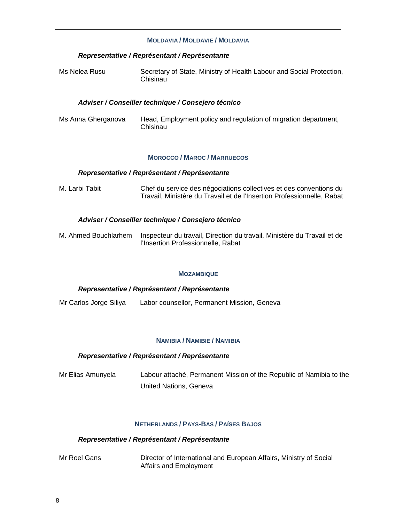#### **MOLDAVIA / MOLDAVIE / MOLDAVIA**

#### **Representative / Représentant / Représentante**

| Ms Nelea Rusu | Secretary of State, Ministry of Health Labour and Social Protection, |
|---------------|----------------------------------------------------------------------|
|               | Chisinau                                                             |

#### **Adviser / Conseiller technique / Consejero técnico**

Ms Anna Gherganova Head, Employment policy and regulation of migration department, Chisinau

#### **MOROCCO / MAROC / MARRUECOS**

#### **Representative / Représentant / Représentante**

M. Larbi Tabit Chef du service des négociations collectives et des conventions du Travail, Ministère du Travail et de l'Insertion Professionnelle, Rabat

#### **Adviser / Conseiller technique / Consejero técnico**

M. Ahmed Bouchlarhem Inspecteur du travail, Direction du travail, Ministère du Travail et de l'Insertion Professionnelle, Rabat

#### **MOZAMBIQUE**

#### **Representative / Représentant / Représentante**

Mr Carlos Jorge Siliya Labor counsellor, Permanent Mission, Geneva

#### **NAMIBIA / NAMIBIE / NAMIBIA**

#### **Representative / Représentant / Représentante**

Mr Elias Amunyela Labour attaché, Permanent Mission of the Republic of Namibia to the United Nations, Geneva

### **NETHERLANDS / PAYS-BAS / PAÍSES BAJOS**

#### **Representative / Représentant / Représentante**

Mr Roel Gans Director of International and European Affairs, Ministry of Social Affairs and Employment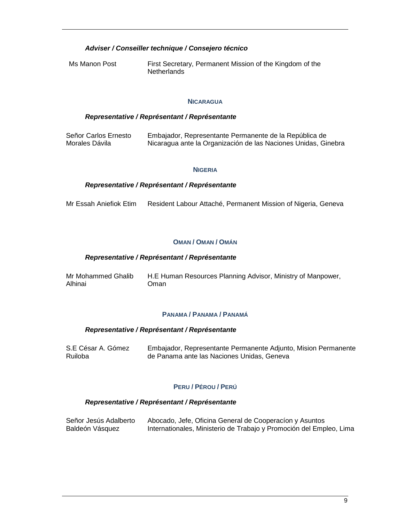#### **Adviser / Conseiller technique / Consejero técnico**

Ms Manon Post First Secretary, Permanent Mission of the Kingdom of the Netherlands

#### **NICARAGUA**

### **Representative / Représentant / Représentante**

Señor Carlos Ernesto Morales Dávila Embajador, Representante Permanente de la República de Nicaragua ante la Organización de las Naciones Unidas, Ginebra

#### **NIGERIA**

#### **Representative / Représentant / Représentante**

Mr Essah Aniefiok Etim Resident Labour Attaché, Permanent Mission of Nigeria, Geneva

#### **OMAN / OMAN / OMÁN**

#### **Representative / Représentant / Représentante**

| Mr Mohammed Ghalib | H.E Human Resources Planning Advisor, Ministry of Manpower, |
|--------------------|-------------------------------------------------------------|
| Alhinai            | Oman                                                        |

#### **PANAMA / PANAMA / PANAMÁ**

#### **Representative / Représentant / Représentante**

| S.E César A. Gómez | Embajador, Representante Permanente Adjunto, Mision Permanente |
|--------------------|----------------------------------------------------------------|
| Ruiloba            | de Panama ante las Naciones Unidas, Geneva                     |

#### **PERU / PÉROU / PERÚ**

| Señor Jesús Adalberto | Abocado, Jefe, Oficina General de Cooperacion y Asuntos             |
|-----------------------|---------------------------------------------------------------------|
| Baldeón Vásquez       | Internationales, Ministerio de Trabajo y Promoción del Empleo, Lima |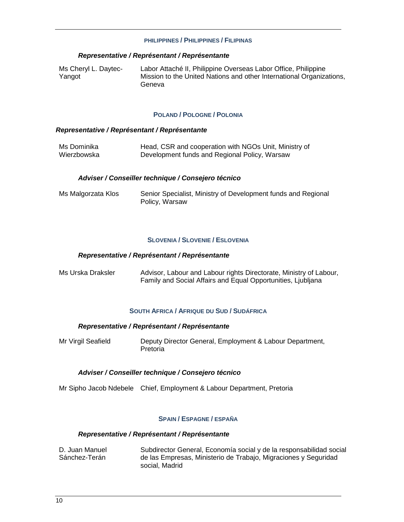#### **PHILIPPINES / PHILIPPINES / FILIPINAS**

#### **Representative / Représentant / Représentante**

| Ms Cheryl L. Daytec- | Labor Attaché II, Philippine Overseas Labor Office, Philippine       |
|----------------------|----------------------------------------------------------------------|
| Yangot               | Mission to the United Nations and other International Organizations, |
|                      | Geneva                                                               |

#### **POLAND / POLOGNE / POLONIA**

#### **Representative / Représentant / Représentante**

| Ms Dominika | Head, CSR and cooperation with NGOs Unit, Ministry of |
|-------------|-------------------------------------------------------|
| Wierzbowska | Development funds and Regional Policy, Warsaw         |

#### **Adviser / Conseiller technique / Consejero técnico**

| Ms Malgorzata Klos | Senior Specialist, Ministry of Development funds and Regional |
|--------------------|---------------------------------------------------------------|
|                    | Policy, Warsaw                                                |

### **SLOVENIA / SLOVENIE / ESLOVENIA**

#### **Representative / Représentant / Représentante**

| Ms Urska Draksler | Advisor, Labour and Labour rights Directorate, Ministry of Labour, |
|-------------------|--------------------------------------------------------------------|
|                   | Family and Social Affairs and Equal Opportunities, Ljubljana       |

#### **SOUTH AFRICA / AFRIQUE DU SUD / SUDÁFRICA**

### **Representative / Représentant / Représentante**

| Mr Virgil Seafield | Deputy Director General, Employment & Labour Department, |
|--------------------|----------------------------------------------------------|
|                    | Pretoria                                                 |

#### **Adviser / Conseiller technique / Consejero técnico**

Mr Sipho Jacob Ndebele Chief, Employment & Labour Department, Pretoria

#### **SPAIN / ESPAGNE / ESPAÑA**

| D. Juan Manuel | Subdirector General, Economía social y de la responsabilidad social |
|----------------|---------------------------------------------------------------------|
| Sánchez-Terán  | de las Empresas, Ministerio de Trabajo, Migraciones y Seguridad     |
|                | social. Madrid                                                      |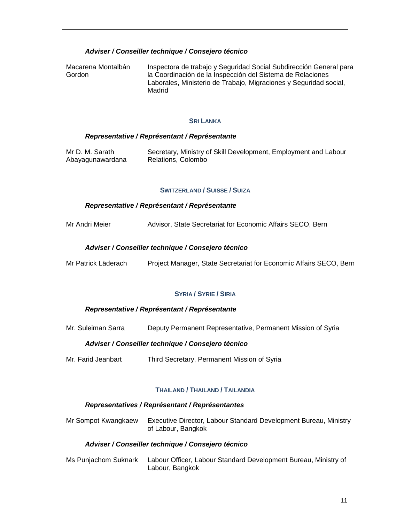## **Adviser / Conseiller technique / Consejero técnico**

Macarena Montalbán Gordon Inspectora de trabajo y Seguridad Social Subdirección General para la Coordinación de la Inspección del Sistema de Relaciones Laborales, Ministerio de Trabajo, Migraciones y Seguridad social, Madrid

#### **SRI LANKA**

#### **Representative / Représentant / Représentante**

| Mr D. M. Sarath  | Secretary, Ministry of Skill Development, Employment and Labour |
|------------------|-----------------------------------------------------------------|
| Abayagunawardana | Relations, Colombo                                              |

#### **SWITZERLAND / SUISSE / SUIZA**

#### **Representative / Représentant / Représentante**

Mr Andri Meier Advisor, State Secretariat for Economic Affairs SECO, Bern

#### **Adviser / Conseiller technique / Consejero técnico**

Mr Patrick Läderach Project Manager, State Secretariat for Economic Affairs SECO, Bern

#### **SYRIA / SYRIE / SIRIA**

#### **Representative / Représentant / Représentante**

Mr. Suleiman Sarra Deputy Permanent Representative, Permanent Mission of Syria

#### **Adviser / Conseiller technique / Consejero técnico**

Mr. Farid Jeanbart Third Secretary, Permanent Mission of Syria

#### **THAILAND / THAILAND / TAILANDIA**

#### **Representatives / Représentant / Représentantes**

Mr Sompot Kwangkaew Executive Director, Labour Standard Development Bureau, Ministry of Labour, Bangkok

#### **Adviser / Conseiller technique / Consejero técnico**

Ms Punjachom Suknark Labour Officer, Labour Standard Development Bureau, Ministry of Labour, Bangkok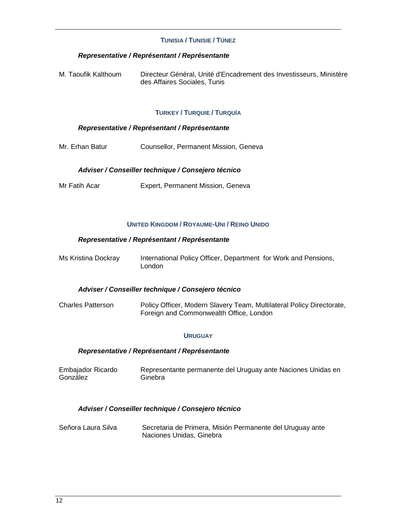### **TUNISIA / TUNISIE / TÚNEZ**

### **Representative / Représentant / Représentante**

| M. Taoufik Kalthoum | Directeur Général, Unité d'Encadrement des Investisseurs, Ministère |
|---------------------|---------------------------------------------------------------------|
|                     | des Affaires Sociales, Tunis                                        |

#### **TURKEY / TURQUIE / TURQUÍA**

### **Representative / Représentant / Représentante**

Mr. Erhan Batur Counsellor, Permanent Mission, Geneva

#### **Adviser / Conseiller technique / Consejero técnico**

Mr Fatih Acar Expert, Permanent Mission, Geneva

#### **UNITED KINGDOM / ROYAUME-UNI / REINO UNIDO**

#### **Representative / Représentant / Représentante**

Ms Kristina Dockray International Policy Officer, Department for Work and Pensions, London

#### **Adviser / Conseiller technique / Consejero técnico**

Charles Patterson Policy Officer, Modern Slavery Team, Multilateral Policy Directorate, Foreign and Commonwealth Office, London

#### **URUGUAY**

#### **Representative / Représentant / Représentante**

Embajador Ricardo González Representante permanente del Uruguay ante Naciones Unidas en Ginebra

#### **Adviser / Conseiller technique / Consejero técnico**

| Señora Laura Silva | Secretaria de Primera, Misión Permanente del Uruguay ante |
|--------------------|-----------------------------------------------------------|
|                    | Naciones Unidas, Ginebra                                  |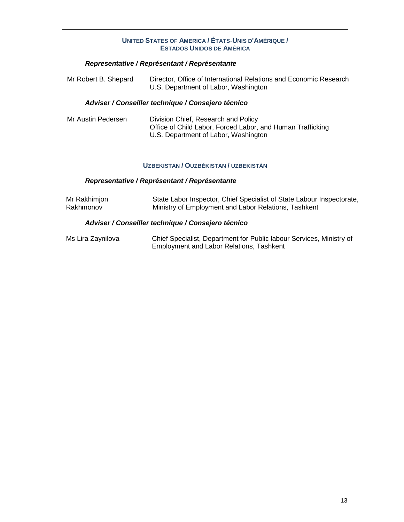## **UNITED STATES OF AMERICA / ÉTATS**‐**UNIS D'AMÉRIQUE / ESTADOS UNIDOS DE AMÉRICA**

## **Representative / Représentant / Représentante**

| Mr Robert B. Shepard | Director, Office of International Relations and Economic Research |
|----------------------|-------------------------------------------------------------------|
|                      | U.S. Department of Labor, Washington                              |

## **Adviser / Conseiller technique / Consejero técnico**

| Mr Austin Pedersen | Division Chief, Research and Policy                        |
|--------------------|------------------------------------------------------------|
|                    | Office of Child Labor, Forced Labor, and Human Trafficking |
|                    | U.S. Department of Labor, Washington                       |

#### **UZBEKISTAN / OUZBÉKISTAN / UZBEKISTÁN**

### **Representative / Représentant / Représentante**

| Mr Rakhimjon | State Labor Inspector, Chief Specialist of State Labour Inspectorate, |
|--------------|-----------------------------------------------------------------------|
| Rakhmonov    | Ministry of Employment and Labor Relations, Tashkent                  |

## **Adviser / Conseiller technique / Consejero técnico**

| Ms Lira Zaynilova | Chief Specialist, Department for Public labour Services, Ministry of |
|-------------------|----------------------------------------------------------------------|
|                   | Employment and Labor Relations, Tashkent                             |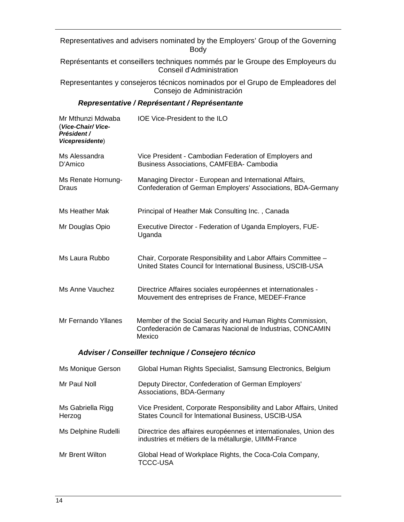Representatives and advisers nominated by the Employers' Group of the Governing Body

Représentants et conseillers techniques nommés par le Groupe des Employeurs du Conseil d'Administration

Representantes y consejeros técnicos nominados por el Grupo de Empleadores del Consejo de Administración

| Mr Mthunzi Mdwaba<br>(Vice-Chair/Vice-<br>Président /<br>Vicepresidente) | IOE Vice-President to the ILO                                                                                                     |  |
|--------------------------------------------------------------------------|-----------------------------------------------------------------------------------------------------------------------------------|--|
| Ms Alessandra<br>D'Amico                                                 | Vice President - Cambodian Federation of Employers and<br><b>Business Associations, CAMFEBA- Cambodia</b>                         |  |
| Ms Renate Hornung-<br>Draus                                              | Managing Director - European and International Affairs,<br>Confederation of German Employers' Associations, BDA-Germany           |  |
| Ms Heather Mak                                                           | Principal of Heather Mak Consulting Inc., Canada                                                                                  |  |
| Mr Douglas Opio                                                          | Executive Director - Federation of Uganda Employers, FUE-<br>Uganda                                                               |  |
| Ms Laura Rubbo                                                           | Chair, Corporate Responsibility and Labor Affairs Committee -<br>United States Council for International Business, USCIB-USA      |  |
| Ms Anne Vauchez                                                          | Directrice Affaires sociales européennes et internationales -<br>Mouvement des entreprises de France, MEDEF-France                |  |
| Mr Fernando Yllanes                                                      | Member of the Social Security and Human Rights Commission,<br>Confederación de Camaras Nacional de Industrias, CONCAMIN<br>Mexico |  |
| Adviser / Conseiller technique / Consejero técnico                       |                                                                                                                                   |  |
| Ms Monique Gerson                                                        | Global Human Rights Specialist, Samsung Electronics, Belgium                                                                      |  |
| Mr Paul Noll                                                             | Deputy Director, Confederation of German Employers'<br>Associations, BDA-Germany                                                  |  |
| Ms Gabriella Rigg<br>Herzog                                              | Vice President, Corporate Responsibility and Labor Affairs, United<br>States Council for Intemational Business, USCIB-USA         |  |
| Ms Delphine Rudelli                                                      | Directrice des affaires européennes et internationales, Union des<br>industries et métiers de la métallurgie, UIMM-France         |  |
| Mr Brent Wilton                                                          | Global Head of Workplace Rights, the Coca-Cola Company,<br><b>TCCC-USA</b>                                                        |  |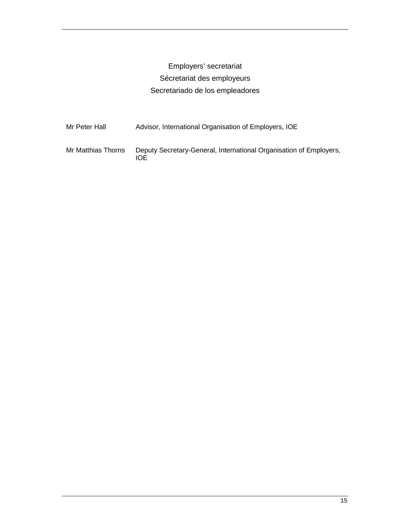# Employers' secretariat Sécretariat des employeurs Secretariado de los empleadores

| Mr Peter Hall      | Advisor, International Organisation of Employers, IOE                     |
|--------------------|---------------------------------------------------------------------------|
| Mr Matthias Thorns | Deputy Secretary-General, International Organisation of Employers,<br>IOF |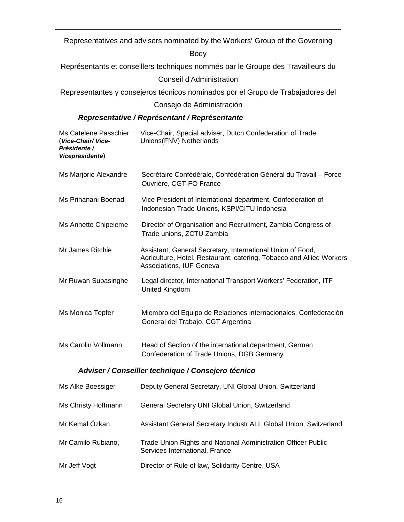Representatives and advisers nominated by the Workers' Group of the Governing

Body

Représentants et conseillers techniques nommés par le Groupe des Travailleurs du

Conseil d'Administration

Representantes y consejeros técnicos nominados por el Grupo de Trabajadores del

Consejo de Administración

| Ms Catelene Passchier<br>(Vice-Chair/Vice-<br>Présidente /<br>Vicepresidente) | Vice-Chair, Special adviser, Dutch Confederation of Trade<br>Unions(FNV) Netherlands                                                                           |  |
|-------------------------------------------------------------------------------|----------------------------------------------------------------------------------------------------------------------------------------------------------------|--|
| Ms Marjorie Alexandre                                                         | Secrétaire Confédérale, Confédération Général du Travail - Force<br>Ouvrière, CGT-FO France                                                                    |  |
| Ms Prihanani Boenadi                                                          | Vice President of International department, Confederation of<br>Indonesian Trade Unions, KSPI/CITU Indonesia                                                   |  |
| Ms Annette Chipeleme                                                          | Director of Organisation and Recruitment, Zambia Congress of<br>Trade unions, ZCTU Zambia                                                                      |  |
| Mr James Ritchie                                                              | Assistant, General Secretary, International Union of Food,<br>Agriculture, Hotel, Restaurant, catering, Tobacco and Allied Workers<br>Associations, IUF Geneva |  |
| Mr Ruwan Subasinghe                                                           | Legal director, International Transport Workers' Federation, ITF<br><b>United Kingdom</b>                                                                      |  |
| Ms Monica Tepfer                                                              | Miembro del Equipo de Relaciones internacionales, Confederación<br>General del Trabajo, CGT Argentina                                                          |  |
| Ms Carolin Vollmann                                                           | Head of Section of the international department, German<br>Confederation of Trade Unions, DGB Germany                                                          |  |
| Adviser / Conseiller technique / Consejero técnico                            |                                                                                                                                                                |  |
| Ms Alke Boessiger                                                             | Deputy General Secretary, UNI Global Union, Switzerland                                                                                                        |  |
| Ms Christy Hoffmann                                                           | General Secretary UNI Global Union, Switzerland                                                                                                                |  |
| Mr Kemal Özkan                                                                | Assistant General Secretary IndustriALL Global Union, Switzerland                                                                                              |  |
| Mr Camilo Rubiano,                                                            | Trade Union Rights and National Administration Officer Public<br>Services International, France                                                                |  |
| Mr Jeff Vogt                                                                  | Director of Rule of law, Solidarity Centre, USA                                                                                                                |  |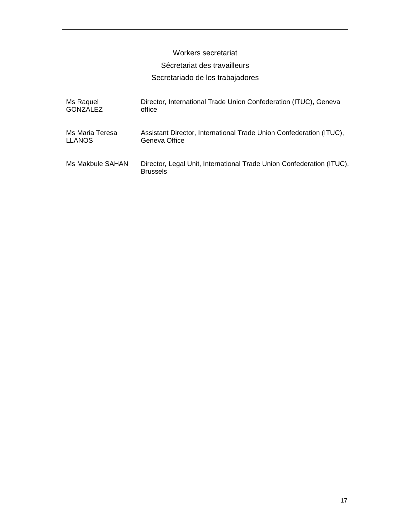## Workers secretariat

## Sécretariat des travailleurs

## Secretariado de los trabajadores

| Ms Raquel        | Director, International Trade Union Confederation (ITUC), Geneva                         |
|------------------|------------------------------------------------------------------------------------------|
| <b>GONZALEZ</b>  | office                                                                                   |
| Ms Maria Teresa  | Assistant Director, International Trade Union Confederation (ITUC),                      |
| <b>LLANOS</b>    | Geneva Office                                                                            |
| Ms Makbule SAHAN | Director, Legal Unit, International Trade Union Confederation (ITUC),<br><b>Brussels</b> |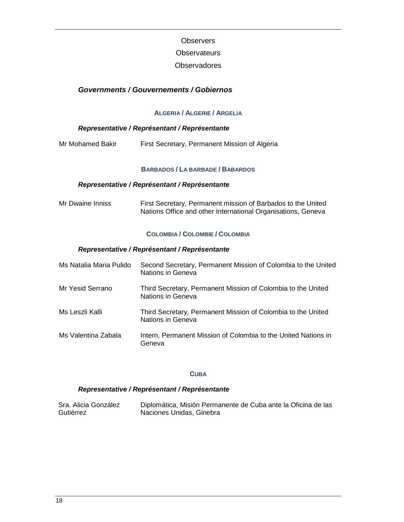## **Observers**

## **Observateurs**

## **Observadores**

## **Governments / Gouvernements / Gobiernos**

## **ALGERIA / ALGERIE / ARGELIA**

## **Representative / Représentant / Représentante**

| Mr Mohamed Bakir |  | First Secretary, Permanent Mission of Algeria |
|------------------|--|-----------------------------------------------|
|------------------|--|-----------------------------------------------|

#### **BARBADOS / LA BARBADE / BABARDOS**

## **Representative / Représentant / Représentante**

| Mr Dwaine Inniss | First Secretary, Permanent mission of Barbados to the United |
|------------------|--------------------------------------------------------------|
|                  | Nations Office and other International Organisations, Geneva |

#### **COLOMBIA / COLOMBIE / COLOMBIA**

#### **Representative / Représentant / Représentante**

| Ms Natalia Maria Pulido | Second Secretary, Permanent Mission of Colombia to the United<br>Nations in Geneva |
|-------------------------|------------------------------------------------------------------------------------|
| Mr Yesid Serrano        | Third Secretary, Permanent Mission of Colombia to the United<br>Nations in Geneva  |
| Ms Leszli Kalli         | Third Secretary, Permanent Mission of Colombia to the United<br>Nations in Geneva  |
| Ms Valentina Zabala     | Intern, Permanent Mission of Colombia to the United Nations in<br>Geneva           |

## **CUBA**

| Sra. Alicia González | Diplomática, Misión Permanente de Cuba ante la Oficina de las |
|----------------------|---------------------------------------------------------------|
| Gutiérrez            | Naciones Unidas, Ginebra                                      |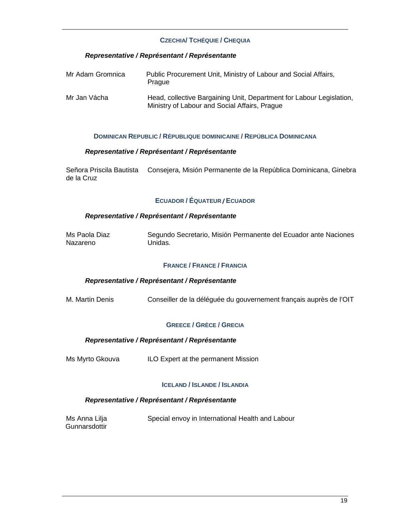## **CZECHIA/ TCHÉQUIE / CHEQUIA**

### **Representative / Représentant / Représentante**

| Mr Adam Gromnica | Public Procurement Unit, Ministry of Labour and Social Affairs,<br>Prague                                             |
|------------------|-----------------------------------------------------------------------------------------------------------------------|
| Mr Jan Vácha     | Head, collective Bargaining Unit, Department for Labour Legislation,<br>Ministry of Labour and Social Affairs, Prague |

#### **DOMINICAN REPUBLIC / RÉPUBLIQUE DOMINICAINE / REPÚBLICA DOMINICANA**

#### **Representative / Représentant / Représentante**

Señora Priscila Bautista Consejera, Misión Permanente de la República Dominicana, Ginebra de la Cruz

## **ECUADOR / ÉQUATEUR /ECUADOR**

#### **Representative / Représentant / Représentante**

| Ms Paola Diaz | Segundo Secretario, Misión Permanente del Ecuador ante Naciones |
|---------------|-----------------------------------------------------------------|
| Nazareno      | Unidas.                                                         |

## **FRANCE / FRANCE / FRANCIA**

#### **Representative / Représentant / Représentante**

M. Martin Denis Conseiller de la déléguée du gouvernement français auprès de l'OIT

#### **GREECE / GRÈCE / GRECIA**

#### **Representative / Représentant / Représentante**

Ms Myrto Gkouva ILO Expert at the permanent Mission

#### **ICELAND / ISLANDE / ISLANDIA**

| Ms Anna Lilja | Special envoy in International Health and Labour |
|---------------|--------------------------------------------------|
| Gunnarsdottir |                                                  |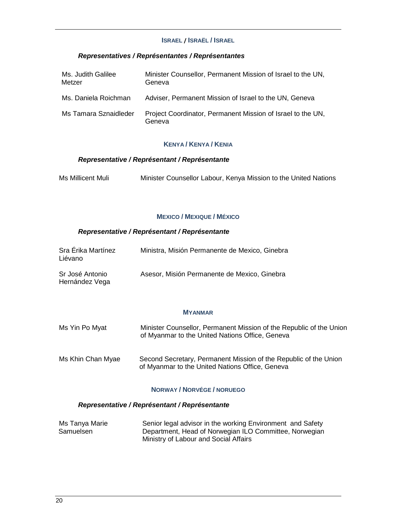### **ISRAEL / ISRAËL / ISRAEL**

## **Representatives / Représentantes / Représentantes**

| Ms. Judith Galilee<br>Metzer | Minister Counsellor, Permanent Mission of Israel to the UN,<br>Geneva |
|------------------------------|-----------------------------------------------------------------------|
| Ms. Daniela Roichman         | Adviser, Permanent Mission of Israel to the UN, Geneva                |
| Ms Tamara Sznaidleder        | Project Coordinator, Permanent Mission of Israel to the UN,<br>Geneva |

#### **KENYA / KENYA / KENIA**

### **Representative / Représentant / Représentante**

| Ms Millicent Muli | Minister Counsellor Labour, Kenya Mission to the United Nations |  |  |
|-------------------|-----------------------------------------------------------------|--|--|
|                   |                                                                 |  |  |

#### **MEXICO / MEXIQUE / MÉXICO**

### **Representative / Représentant / Représentante**

| Sra Érika Martínez<br>Liévano     | Ministra, Misión Permanente de Mexico, Ginebra |
|-----------------------------------|------------------------------------------------|
| Sr José Antonio<br>Hernández Vega | Asesor, Misión Permanente de Mexico, Ginebra   |

#### **MYANMAR**

| Ms Yin Po Myat    | Minister Counsellor, Permanent Mission of the Republic of the Union<br>of Myanmar to the United Nations Office, Geneva |
|-------------------|------------------------------------------------------------------------------------------------------------------------|
| Ms Khin Chan Myae | Second Secretary, Permanent Mission of the Republic of the Union<br>of Myanmar to the United Nations Office, Geneva    |

### **NORWAY / NORVÉGE / NORUEGO**

| Ms Tanya Marie | Senior legal advisor in the working Environment and Safety |
|----------------|------------------------------------------------------------|
| Samuelsen      | Department, Head of Norwegian ILO Committee, Norwegian     |
|                | Ministry of Labour and Social Affairs                      |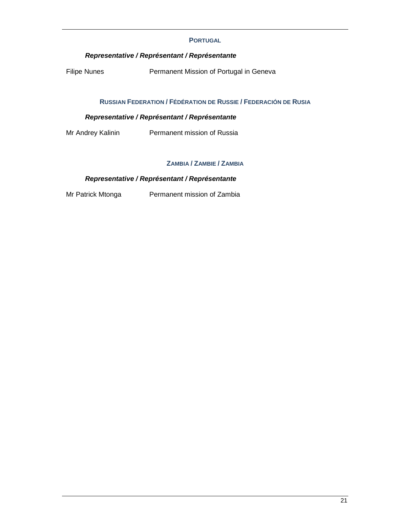### **PORTUGAL**

## **Representative / Représentant / Représentante**

Filipe Nunes **Permanent Mission of Portugal in Geneva** 

## **RUSSIAN FEDERATION / FÉDÉRATION DE RUSSIE / FEDERACIÓN DE RUSIA**

## **Representative / Représentant / Représentante**

Mr Andrey Kalinin Permanent mission of Russia

## **ZAMBIA / ZAMBIE / ZAMBIA**

## **Representative / Représentant / Représentante**

Mr Patrick Mtonga Permanent mission of Zambia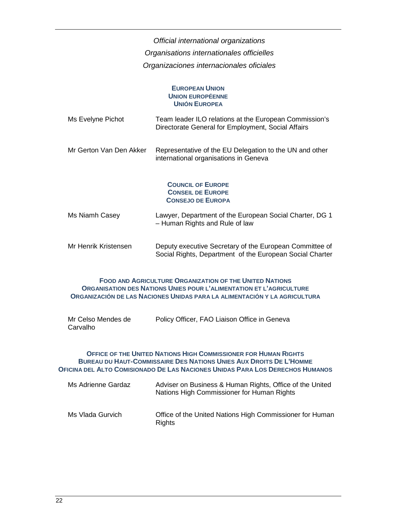Official international organizations Organisations internationales officielles Organizaciones internacionales oficiales

#### **EUROPEAN UNION UNION EUROPÉENNE UNIÓN EUROPEA**

| Ms Evelyne Pichot       | Team leader ILO relations at the European Commission's<br>Directorate General for Employment, Social Affairs |
|-------------------------|--------------------------------------------------------------------------------------------------------------|
| Mr Gerton Van Den Akker | Representative of the EU Delegation to the UN and other<br>international organisations in Geneva             |

## **COUNCIL OF EUROPE CONSEIL DE EUROPE CONSEJO DE EUROPA**

- Ms Niamh Casey Lawyer, Department of the European Social Charter, DG 1 – Human Rights and Rule of law
- Mr Henrik Kristensen Deputy executive Secretary of the European Committee of Social Rights, Department of the European Social Charter

#### **FOOD AND AGRICULTURE ORGANIZATION OF THE UNITED NATIONS ORGANISATION DES NATIONS UNIES POUR L'ALIMENTATION ET L'AGRICULTURE ORGANIZACIÓN DE LAS NACIONES UNIDAS PARA LA ALIMENTACIÓN Y LA AGRICULTURA**

| Mr Celso Mendes de | Policy Officer, FAO Liaison Office in Geneva |
|--------------------|----------------------------------------------|
| Carvalho           |                                              |

#### **OFFICE OF THE UNITED NATIONS HIGH COMMISSIONER FOR HUMAN RIGHTS BUREAU DU HAUT-COMMISSAIRE DES NATIONS UNIES AUX DROITS DE L'HOMME** OFICINA DEL ALTO COMISIONADO DE LAS NACIONES UNIDAS PARA LOS DERECHOS HUMANOS

| Ms Adrienne Gardaz | Adviser on Business & Human Rights, Office of the United<br>Nations High Commissioner for Human Rights |
|--------------------|--------------------------------------------------------------------------------------------------------|
| Ms Vlada Gurvich   | Office of the United Nations High Commissioner for Human<br>Rights                                     |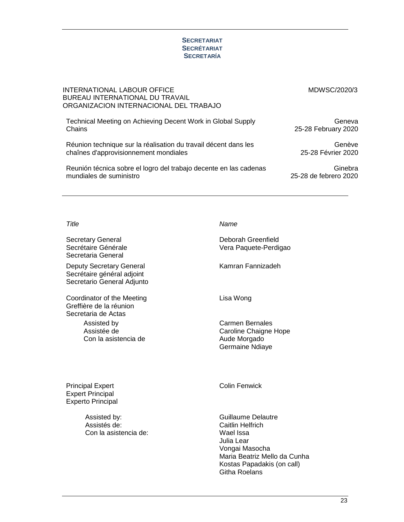#### **SECRETARIAT SECRÉTARIAT SECRETARÍA**

| INTERNATIONAL LABOUR OFFICE<br>BUREAU INTERNATIONAL DU TRAVAIL<br>ORGANIZACION INTERNACIONAL DEL TRABAJO | MDWSC/2020/3          |
|----------------------------------------------------------------------------------------------------------|-----------------------|
| Technical Meeting on Achieving Decent Work in Global Supply                                              | Geneva                |
| Chains                                                                                                   | 25-28 February 2020   |
| Réunion technique sur la réalisation du travail décent dans les                                          | Genève                |
| chaînes d'approvisionnement mondiales                                                                    | 25-28 Février 2020    |
| Reunión técnica sobre el logro del trabajo decente en las cadenas                                        | Ginebra               |
| mundiales de suministro                                                                                  | 25-28 de febrero 2020 |

Secretary General Secrétaire Générale Secretaria General

Deputy Secretary General Secrétaire général adjoint Secretario General Adjunto

Coordinator of the Meeting Greffière de la réunion Secretaria de Actas Assisted by

Assistée de Con la asistencia de

Title Name

Deborah Greenfield Vera Paquete-Perdigao

Kamran Fannizadeh

Lisa Wong

Carmen Bernales Caroline Chaigne Hope Aude Morgado Germaine Ndiaye

Principal Expert Expert Principal Experto Principal

> Assisted by: Assistés de: Con la asistencia de:

Colin Fenwick

Guillaume Delautre Caitlin Helfrich Wael Issa Julia Lear Vongai Masocha Maria Beatriz Mello da Cunha Kostas Papadakis (on call) Githa Roelans